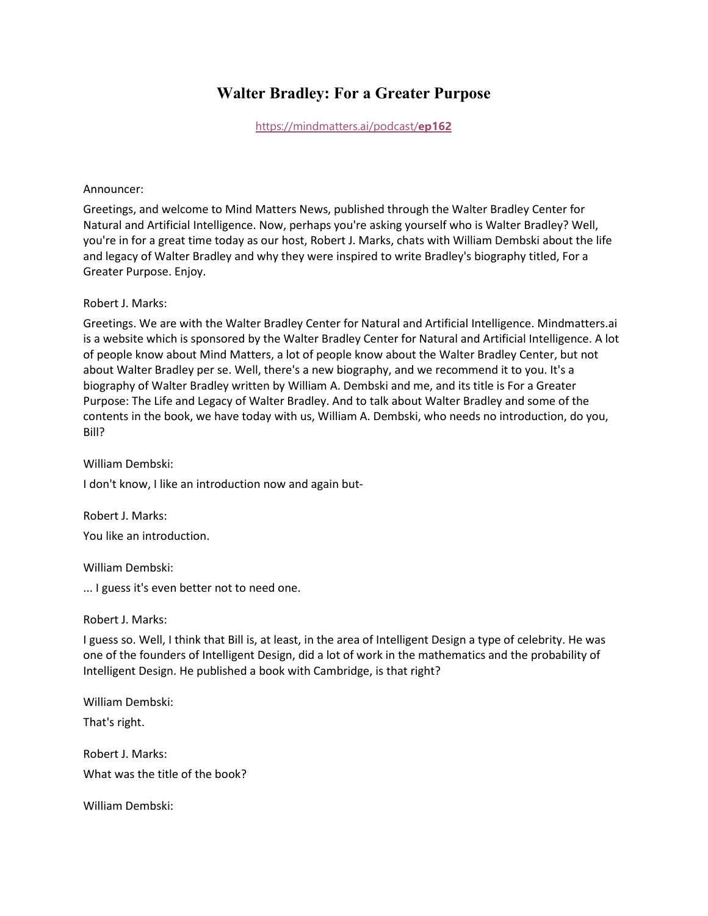# **Walter Bradley: For a Greater Purpose**

[https://mindmatters.ai/podcast/](https://mindmatters.ai/podcast/ep162/)**ep162**

#### Announcer:

Greetings, and welcome to Mind Matters News, published through the Walter Bradley Center for Natural and Artificial Intelligence. Now, perhaps you're asking yourself who is Walter Bradley? Well, you're in for a great time today as our host, Robert J. Marks, chats with William Dembski about the life and legacy of Walter Bradley and why they were inspired to write Bradley's biography titled, For a Greater Purpose. Enjoy.

## Robert J. Marks:

Greetings. We are with the Walter Bradley Center for Natural and Artificial Intelligence. Mindmatters.ai is a website which is sponsored by the Walter Bradley Center for Natural and Artificial Intelligence. A lot of people know about Mind Matters, a lot of people know about the Walter Bradley Center, but not about Walter Bradley per se. Well, there's a new biography, and we recommend it to you. It's a biography of Walter Bradley written by William A. Dembski and me, and its title is For a Greater Purpose: The Life and Legacy of Walter Bradley. And to talk about Walter Bradley and some of the contents in the book, we have today with us, William A. Dembski, who needs no introduction, do you, Bill?

#### William Dembski:

I don't know, I like an introduction now and again but-

Robert J. Marks: You like an introduction.

William Dembski:

... I guess it's even better not to need one.

Robert J. Marks:

I guess so. Well, I think that Bill is, at least, in the area of Intelligent Design a type of celebrity. He was one of the founders of Intelligent Design, did a lot of work in the mathematics and the probability of Intelligent Design. He published a book with Cambridge, is that right?

William Dembski:

That's right.

Robert J. Marks: What was the title of the book?

William Dembski: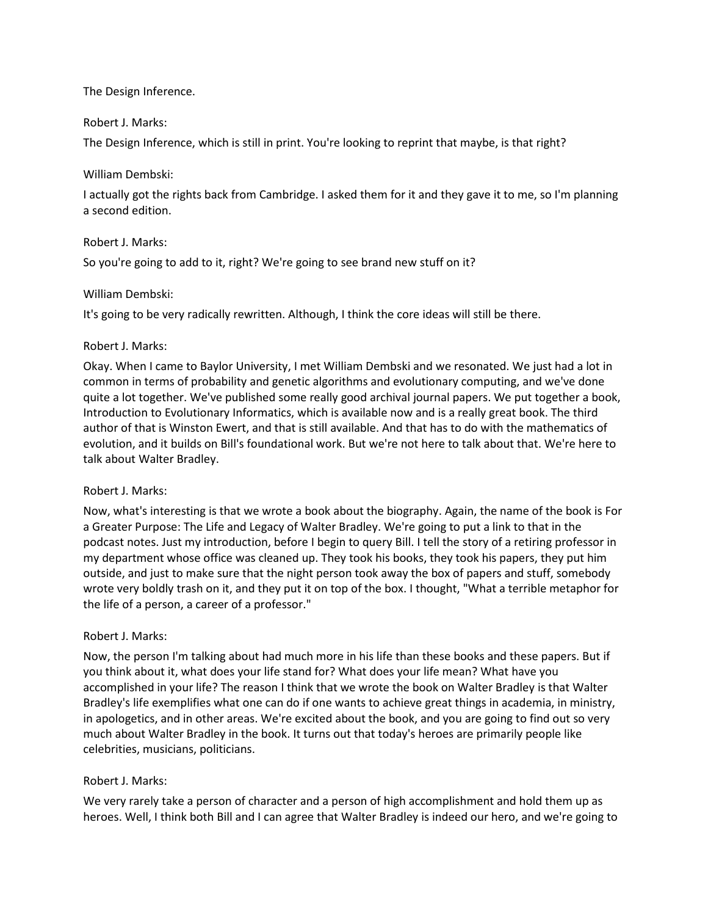## The Design Inference.

#### Robert J. Marks:

The Design Inference, which is still in print. You're looking to reprint that maybe, is that right?

#### William Dembski:

I actually got the rights back from Cambridge. I asked them for it and they gave it to me, so I'm planning a second edition.

#### Robert J. Marks:

So you're going to add to it, right? We're going to see brand new stuff on it?

#### William Dembski:

It's going to be very radically rewritten. Although, I think the core ideas will still be there.

#### Robert J. Marks:

Okay. When I came to Baylor University, I met William Dembski and we resonated. We just had a lot in common in terms of probability and genetic algorithms and evolutionary computing, and we've done quite a lot together. We've published some really good archival journal papers. We put together a book, Introduction to Evolutionary Informatics, which is available now and is a really great book. The third author of that is Winston Ewert, and that is still available. And that has to do with the mathematics of evolution, and it builds on Bill's foundational work. But we're not here to talk about that. We're here to talk about Walter Bradley.

#### Robert J. Marks:

Now, what's interesting is that we wrote a book about the biography. Again, the name of the book is For a Greater Purpose: The Life and Legacy of Walter Bradley. We're going to put a link to that in the podcast notes. Just my introduction, before I begin to query Bill. I tell the story of a retiring professor in my department whose office was cleaned up. They took his books, they took his papers, they put him outside, and just to make sure that the night person took away the box of papers and stuff, somebody wrote very boldly trash on it, and they put it on top of the box. I thought, "What a terrible metaphor for the life of a person, a career of a professor."

#### Robert J. Marks:

Now, the person I'm talking about had much more in his life than these books and these papers. But if you think about it, what does your life stand for? What does your life mean? What have you accomplished in your life? The reason I think that we wrote the book on Walter Bradley is that Walter Bradley's life exemplifies what one can do if one wants to achieve great things in academia, in ministry, in apologetics, and in other areas. We're excited about the book, and you are going to find out so very much about Walter Bradley in the book. It turns out that today's heroes are primarily people like celebrities, musicians, politicians.

#### Robert J. Marks:

We very rarely take a person of character and a person of high accomplishment and hold them up as heroes. Well, I think both Bill and I can agree that Walter Bradley is indeed our hero, and we're going to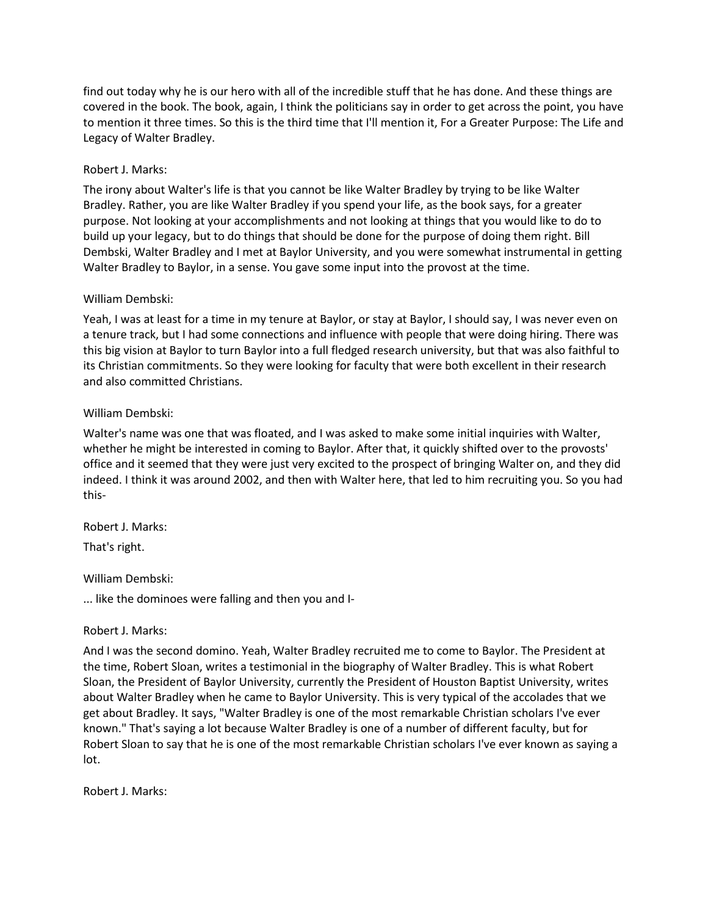find out today why he is our hero with all of the incredible stuff that he has done. And these things are covered in the book. The book, again, I think the politicians say in order to get across the point, you have to mention it three times. So this is the third time that I'll mention it, For a Greater Purpose: The Life and Legacy of Walter Bradley.

# Robert J. Marks:

The irony about Walter's life is that you cannot be like Walter Bradley by trying to be like Walter Bradley. Rather, you are like Walter Bradley if you spend your life, as the book says, for a greater purpose. Not looking at your accomplishments and not looking at things that you would like to do to build up your legacy, but to do things that should be done for the purpose of doing them right. Bill Dembski, Walter Bradley and I met at Baylor University, and you were somewhat instrumental in getting Walter Bradley to Baylor, in a sense. You gave some input into the provost at the time.

## William Dembski:

Yeah, I was at least for a time in my tenure at Baylor, or stay at Baylor, I should say, I was never even on a tenure track, but I had some connections and influence with people that were doing hiring. There was this big vision at Baylor to turn Baylor into a full fledged research university, but that was also faithful to its Christian commitments. So they were looking for faculty that were both excellent in their research and also committed Christians.

# William Dembski:

Walter's name was one that was floated, and I was asked to make some initial inquiries with Walter, whether he might be interested in coming to Baylor. After that, it quickly shifted over to the provosts' office and it seemed that they were just very excited to the prospect of bringing Walter on, and they did indeed. I think it was around 2002, and then with Walter here, that led to him recruiting you. So you had this-

Robert J. Marks:

That's right.

## William Dembski:

... like the dominoes were falling and then you and I-

## Robert J. Marks:

And I was the second domino. Yeah, Walter Bradley recruited me to come to Baylor. The President at the time, Robert Sloan, writes a testimonial in the biography of Walter Bradley. This is what Robert Sloan, the President of Baylor University, currently the President of Houston Baptist University, writes about Walter Bradley when he came to Baylor University. This is very typical of the accolades that we get about Bradley. It says, "Walter Bradley is one of the most remarkable Christian scholars I've ever known." That's saying a lot because Walter Bradley is one of a number of different faculty, but for Robert Sloan to say that he is one of the most remarkable Christian scholars I've ever known as saying a lot.

Robert J. Marks: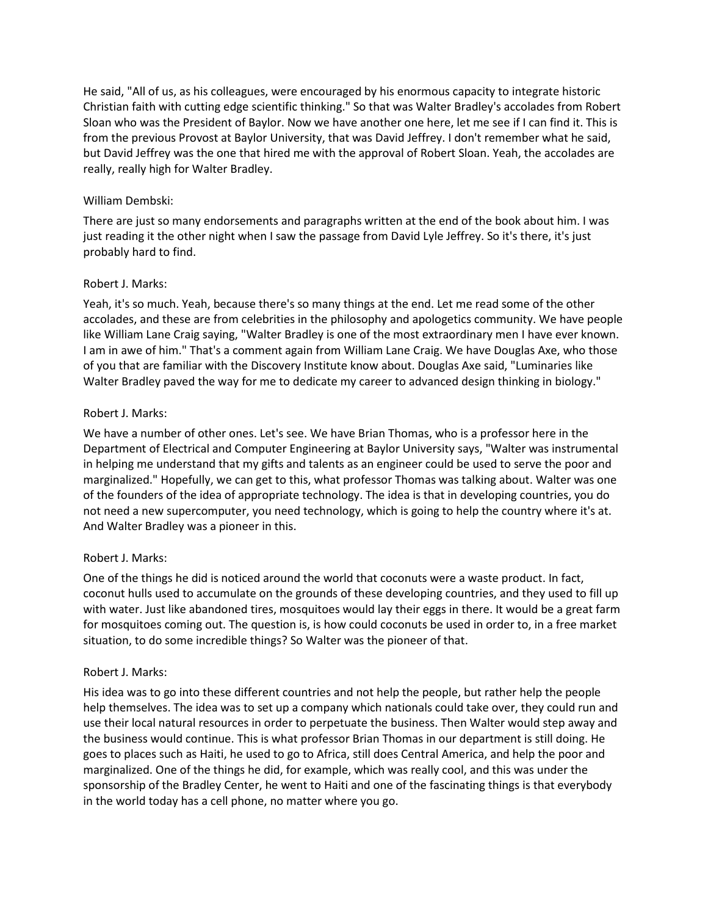He said, "All of us, as his colleagues, were encouraged by his enormous capacity to integrate historic Christian faith with cutting edge scientific thinking." So that was Walter Bradley's accolades from Robert Sloan who was the President of Baylor. Now we have another one here, let me see if I can find it. This is from the previous Provost at Baylor University, that was David Jeffrey. I don't remember what he said, but David Jeffrey was the one that hired me with the approval of Robert Sloan. Yeah, the accolades are really, really high for Walter Bradley.

#### William Dembski:

There are just so many endorsements and paragraphs written at the end of the book about him. I was just reading it the other night when I saw the passage from David Lyle Jeffrey. So it's there, it's just probably hard to find.

#### Robert J. Marks:

Yeah, it's so much. Yeah, because there's so many things at the end. Let me read some of the other accolades, and these are from celebrities in the philosophy and apologetics community. We have people like William Lane Craig saying, "Walter Bradley is one of the most extraordinary men I have ever known. I am in awe of him." That's a comment again from William Lane Craig. We have Douglas Axe, who those of you that are familiar with the Discovery Institute know about. Douglas Axe said, "Luminaries like Walter Bradley paved the way for me to dedicate my career to advanced design thinking in biology."

#### Robert J. Marks:

We have a number of other ones. Let's see. We have Brian Thomas, who is a professor here in the Department of Electrical and Computer Engineering at Baylor University says, "Walter was instrumental in helping me understand that my gifts and talents as an engineer could be used to serve the poor and marginalized." Hopefully, we can get to this, what professor Thomas was talking about. Walter was one of the founders of the idea of appropriate technology. The idea is that in developing countries, you do not need a new supercomputer, you need technology, which is going to help the country where it's at. And Walter Bradley was a pioneer in this.

#### Robert J. Marks:

One of the things he did is noticed around the world that coconuts were a waste product. In fact, coconut hulls used to accumulate on the grounds of these developing countries, and they used to fill up with water. Just like abandoned tires, mosquitoes would lay their eggs in there. It would be a great farm for mosquitoes coming out. The question is, is how could coconuts be used in order to, in a free market situation, to do some incredible things? So Walter was the pioneer of that.

#### Robert J. Marks:

His idea was to go into these different countries and not help the people, but rather help the people help themselves. The idea was to set up a company which nationals could take over, they could run and use their local natural resources in order to perpetuate the business. Then Walter would step away and the business would continue. This is what professor Brian Thomas in our department is still doing. He goes to places such as Haiti, he used to go to Africa, still does Central America, and help the poor and marginalized. One of the things he did, for example, which was really cool, and this was under the sponsorship of the Bradley Center, he went to Haiti and one of the fascinating things is that everybody in the world today has a cell phone, no matter where you go.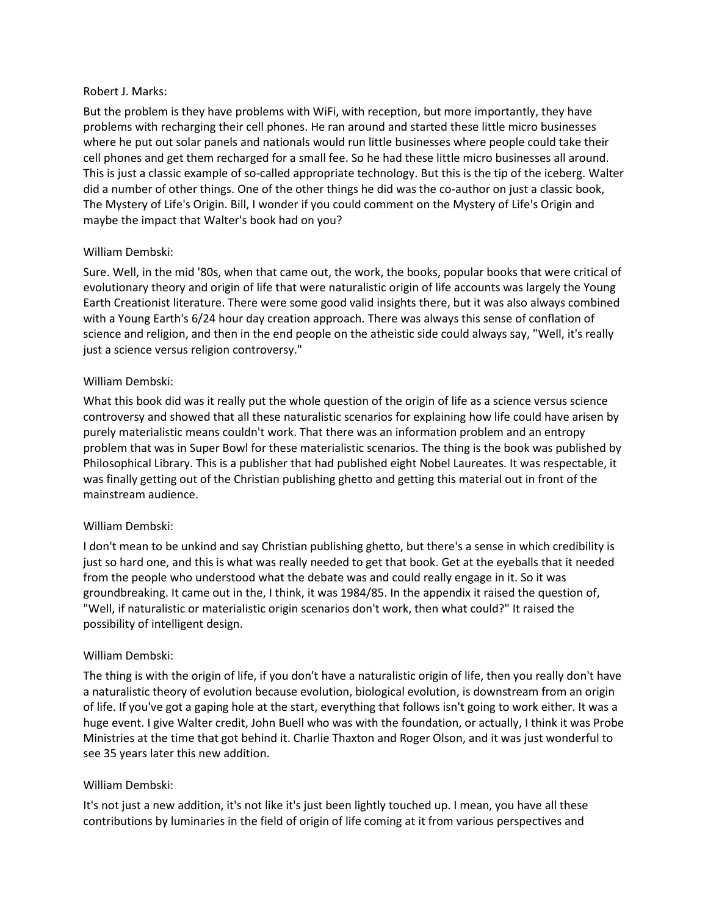#### Robert J. Marks:

But the problem is they have problems with WiFi, with reception, but more importantly, they have problems with recharging their cell phones. He ran around and started these little micro businesses where he put out solar panels and nationals would run little businesses where people could take their cell phones and get them recharged for a small fee. So he had these little micro businesses all around. This is just a classic example of so-called appropriate technology. But this is the tip of the iceberg. Walter did a number of other things. One of the other things he did was the co-author on just a classic book, The Mystery of Life's Origin. Bill, I wonder if you could comment on the Mystery of Life's Origin and maybe the impact that Walter's book had on you?

# William Dembski:

Sure. Well, in the mid '80s, when that came out, the work, the books, popular books that were critical of evolutionary theory and origin of life that were naturalistic origin of life accounts was largely the Young Earth Creationist literature. There were some good valid insights there, but it was also always combined with a Young Earth's 6/24 hour day creation approach. There was always this sense of conflation of science and religion, and then in the end people on the atheistic side could always say, "Well, it's really just a science versus religion controversy."

## William Dembski:

What this book did was it really put the whole question of the origin of life as a science versus science controversy and showed that all these naturalistic scenarios for explaining how life could have arisen by purely materialistic means couldn't work. That there was an information problem and an entropy problem that was in Super Bowl for these materialistic scenarios. The thing is the book was published by Philosophical Library. This is a publisher that had published eight Nobel Laureates. It was respectable, it was finally getting out of the Christian publishing ghetto and getting this material out in front of the mainstream audience.

## William Dembski:

I don't mean to be unkind and say Christian publishing ghetto, but there's a sense in which credibility is just so hard one, and this is what was really needed to get that book. Get at the eyeballs that it needed from the people who understood what the debate was and could really engage in it. So it was groundbreaking. It came out in the, I think, it was 1984/85. In the appendix it raised the question of, "Well, if naturalistic or materialistic origin scenarios don't work, then what could?" It raised the possibility of intelligent design.

## William Dembski:

The thing is with the origin of life, if you don't have a naturalistic origin of life, then you really don't have a naturalistic theory of evolution because evolution, biological evolution, is downstream from an origin of life. If you've got a gaping hole at the start, everything that follows isn't going to work either. It was a huge event. I give Walter credit, John Buell who was with the foundation, or actually, I think it was Probe Ministries at the time that got behind it. Charlie Thaxton and Roger Olson, and it was just wonderful to see 35 years later this new addition.

## William Dembski:

It's not just a new addition, it's not like it's just been lightly touched up. I mean, you have all these contributions by luminaries in the field of origin of life coming at it from various perspectives and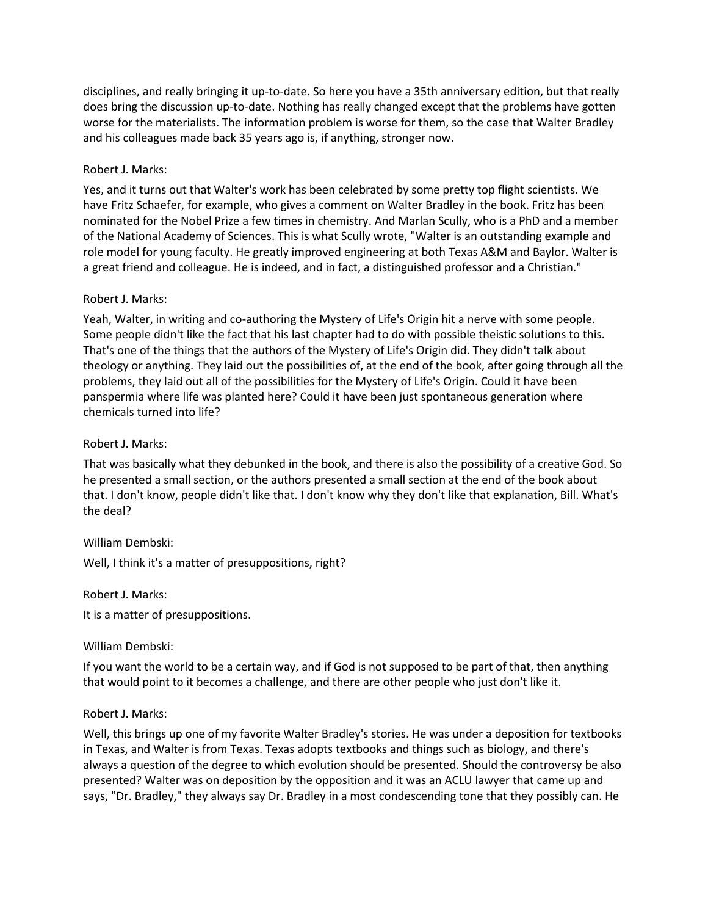disciplines, and really bringing it up-to-date. So here you have a 35th anniversary edition, but that really does bring the discussion up-to-date. Nothing has really changed except that the problems have gotten worse for the materialists. The information problem is worse for them, so the case that Walter Bradley and his colleagues made back 35 years ago is, if anything, stronger now.

# Robert J. Marks:

Yes, and it turns out that Walter's work has been celebrated by some pretty top flight scientists. We have Fritz Schaefer, for example, who gives a comment on Walter Bradley in the book. Fritz has been nominated for the Nobel Prize a few times in chemistry. And Marlan Scully, who is a PhD and a member of the National Academy of Sciences. This is what Scully wrote, "Walter is an outstanding example and role model for young faculty. He greatly improved engineering at both Texas A&M and Baylor. Walter is a great friend and colleague. He is indeed, and in fact, a distinguished professor and a Christian."

## Robert J. Marks:

Yeah, Walter, in writing and co-authoring the Mystery of Life's Origin hit a nerve with some people. Some people didn't like the fact that his last chapter had to do with possible theistic solutions to this. That's one of the things that the authors of the Mystery of Life's Origin did. They didn't talk about theology or anything. They laid out the possibilities of, at the end of the book, after going through all the problems, they laid out all of the possibilities for the Mystery of Life's Origin. Could it have been panspermia where life was planted here? Could it have been just spontaneous generation where chemicals turned into life?

# Robert J. Marks:

That was basically what they debunked in the book, and there is also the possibility of a creative God. So he presented a small section, or the authors presented a small section at the end of the book about that. I don't know, people didn't like that. I don't know why they don't like that explanation, Bill. What's the deal?

## William Dembski:

Well, I think it's a matter of presuppositions, right?

Robert J. Marks:

It is a matter of presuppositions.

## William Dembski:

If you want the world to be a certain way, and if God is not supposed to be part of that, then anything that would point to it becomes a challenge, and there are other people who just don't like it.

## Robert J. Marks:

Well, this brings up one of my favorite Walter Bradley's stories. He was under a deposition for textbooks in Texas, and Walter is from Texas. Texas adopts textbooks and things such as biology, and there's always a question of the degree to which evolution should be presented. Should the controversy be also presented? Walter was on deposition by the opposition and it was an ACLU lawyer that came up and says, "Dr. Bradley," they always say Dr. Bradley in a most condescending tone that they possibly can. He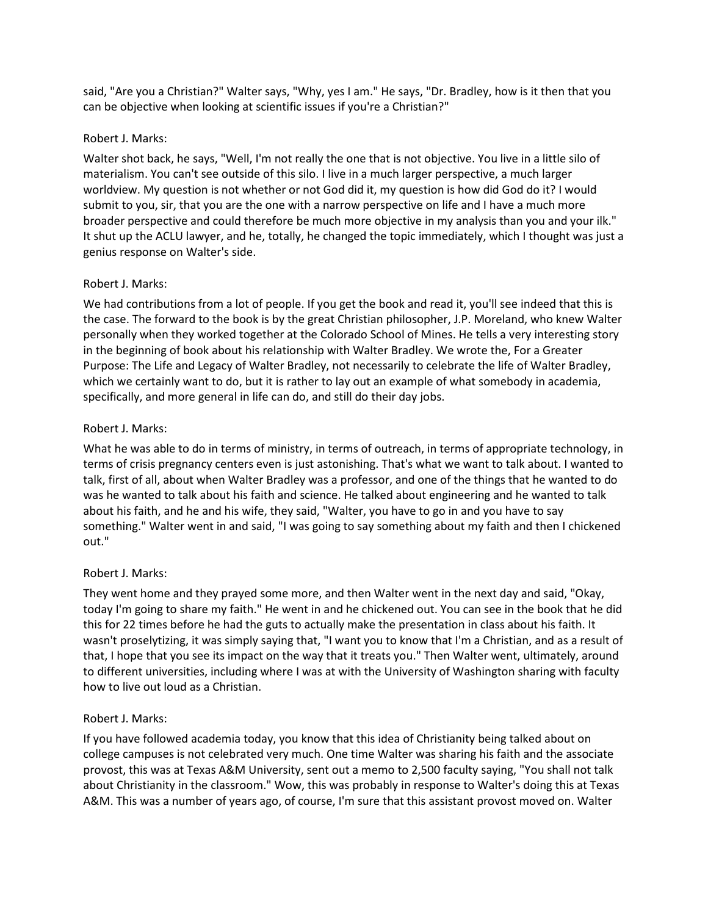said, "Are you a Christian?" Walter says, "Why, yes I am." He says, "Dr. Bradley, how is it then that you can be objective when looking at scientific issues if you're a Christian?"

## Robert J. Marks:

Walter shot back, he says, "Well, I'm not really the one that is not objective. You live in a little silo of materialism. You can't see outside of this silo. I live in a much larger perspective, a much larger worldview. My question is not whether or not God did it, my question is how did God do it? I would submit to you, sir, that you are the one with a narrow perspective on life and I have a much more broader perspective and could therefore be much more objective in my analysis than you and your ilk." It shut up the ACLU lawyer, and he, totally, he changed the topic immediately, which I thought was just a genius response on Walter's side.

# Robert J. Marks:

We had contributions from a lot of people. If you get the book and read it, you'll see indeed that this is the case. The forward to the book is by the great Christian philosopher, J.P. Moreland, who knew Walter personally when they worked together at the Colorado School of Mines. He tells a very interesting story in the beginning of book about his relationship with Walter Bradley. We wrote the, For a Greater Purpose: The Life and Legacy of Walter Bradley, not necessarily to celebrate the life of Walter Bradley, which we certainly want to do, but it is rather to lay out an example of what somebody in academia, specifically, and more general in life can do, and still do their day jobs.

# Robert J. Marks:

What he was able to do in terms of ministry, in terms of outreach, in terms of appropriate technology, in terms of crisis pregnancy centers even is just astonishing. That's what we want to talk about. I wanted to talk, first of all, about when Walter Bradley was a professor, and one of the things that he wanted to do was he wanted to talk about his faith and science. He talked about engineering and he wanted to talk about his faith, and he and his wife, they said, "Walter, you have to go in and you have to say something." Walter went in and said, "I was going to say something about my faith and then I chickened out."

## Robert J. Marks:

They went home and they prayed some more, and then Walter went in the next day and said, "Okay, today I'm going to share my faith." He went in and he chickened out. You can see in the book that he did this for 22 times before he had the guts to actually make the presentation in class about his faith. It wasn't proselytizing, it was simply saying that, "I want you to know that I'm a Christian, and as a result of that, I hope that you see its impact on the way that it treats you." Then Walter went, ultimately, around to different universities, including where I was at with the University of Washington sharing with faculty how to live out loud as a Christian.

# Robert J. Marks:

If you have followed academia today, you know that this idea of Christianity being talked about on college campuses is not celebrated very much. One time Walter was sharing his faith and the associate provost, this was at Texas A&M University, sent out a memo to 2,500 faculty saying, "You shall not talk about Christianity in the classroom." Wow, this was probably in response to Walter's doing this at Texas A&M. This was a number of years ago, of course, I'm sure that this assistant provost moved on. Walter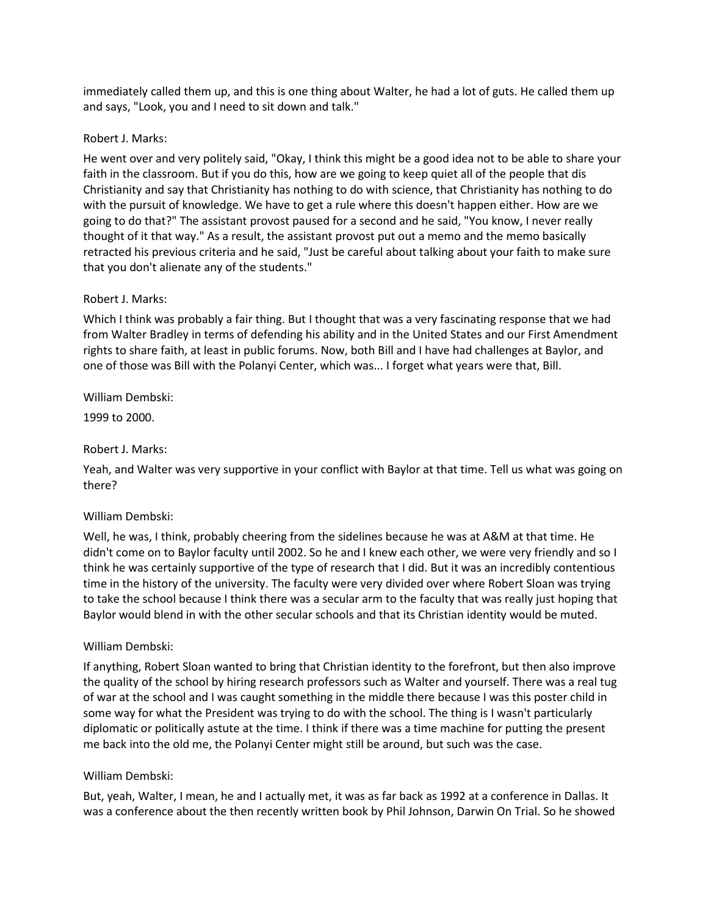immediately called them up, and this is one thing about Walter, he had a lot of guts. He called them up and says, "Look, you and I need to sit down and talk."

#### Robert J. Marks:

He went over and very politely said, "Okay, I think this might be a good idea not to be able to share your faith in the classroom. But if you do this, how are we going to keep quiet all of the people that dis Christianity and say that Christianity has nothing to do with science, that Christianity has nothing to do with the pursuit of knowledge. We have to get a rule where this doesn't happen either. How are we going to do that?" The assistant provost paused for a second and he said, "You know, I never really thought of it that way." As a result, the assistant provost put out a memo and the memo basically retracted his previous criteria and he said, "Just be careful about talking about your faith to make sure that you don't alienate any of the students."

#### Robert J. Marks:

Which I think was probably a fair thing. But I thought that was a very fascinating response that we had from Walter Bradley in terms of defending his ability and in the United States and our First Amendment rights to share faith, at least in public forums. Now, both Bill and I have had challenges at Baylor, and one of those was Bill with the Polanyi Center, which was... I forget what years were that, Bill.

## William Dembski:

1999 to 2000.

#### Robert J. Marks:

Yeah, and Walter was very supportive in your conflict with Baylor at that time. Tell us what was going on there?

#### William Dembski:

Well, he was, I think, probably cheering from the sidelines because he was at A&M at that time. He didn't come on to Baylor faculty until 2002. So he and I knew each other, we were very friendly and so I think he was certainly supportive of the type of research that I did. But it was an incredibly contentious time in the history of the university. The faculty were very divided over where Robert Sloan was trying to take the school because I think there was a secular arm to the faculty that was really just hoping that Baylor would blend in with the other secular schools and that its Christian identity would be muted.

#### William Dembski:

If anything, Robert Sloan wanted to bring that Christian identity to the forefront, but then also improve the quality of the school by hiring research professors such as Walter and yourself. There was a real tug of war at the school and I was caught something in the middle there because I was this poster child in some way for what the President was trying to do with the school. The thing is I wasn't particularly diplomatic or politically astute at the time. I think if there was a time machine for putting the present me back into the old me, the Polanyi Center might still be around, but such was the case.

## William Dembski:

But, yeah, Walter, I mean, he and I actually met, it was as far back as 1992 at a conference in Dallas. It was a conference about the then recently written book by Phil Johnson, Darwin On Trial. So he showed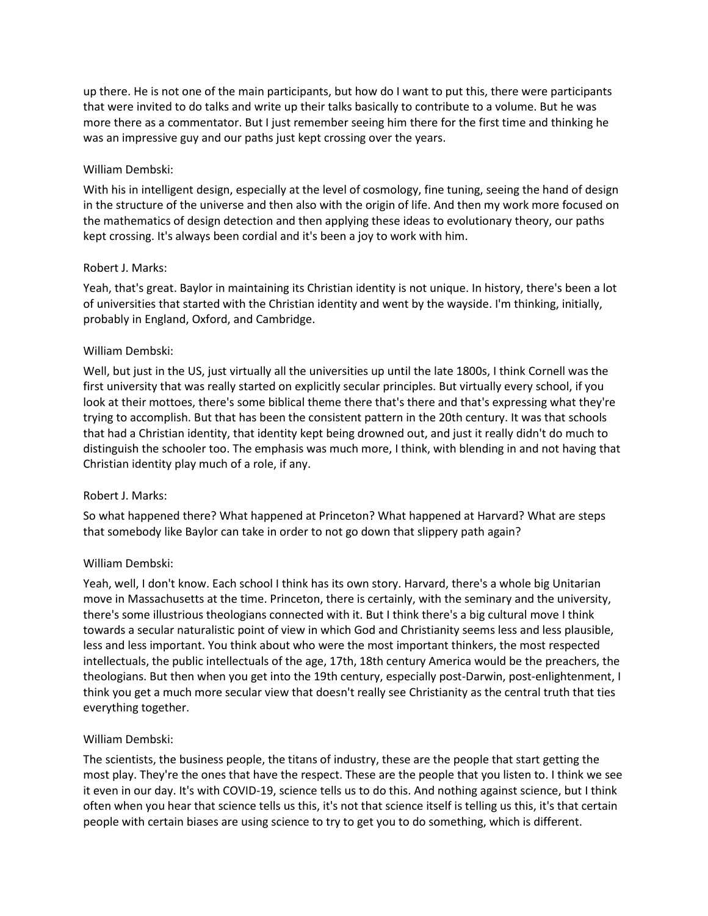up there. He is not one of the main participants, but how do I want to put this, there were participants that were invited to do talks and write up their talks basically to contribute to a volume. But he was more there as a commentator. But I just remember seeing him there for the first time and thinking he was an impressive guy and our paths just kept crossing over the years.

# William Dembski:

With his in intelligent design, especially at the level of cosmology, fine tuning, seeing the hand of design in the structure of the universe and then also with the origin of life. And then my work more focused on the mathematics of design detection and then applying these ideas to evolutionary theory, our paths kept crossing. It's always been cordial and it's been a joy to work with him.

# Robert J. Marks:

Yeah, that's great. Baylor in maintaining its Christian identity is not unique. In history, there's been a lot of universities that started with the Christian identity and went by the wayside. I'm thinking, initially, probably in England, Oxford, and Cambridge.

# William Dembski:

Well, but just in the US, just virtually all the universities up until the late 1800s, I think Cornell was the first university that was really started on explicitly secular principles. But virtually every school, if you look at their mottoes, there's some biblical theme there that's there and that's expressing what they're trying to accomplish. But that has been the consistent pattern in the 20th century. It was that schools that had a Christian identity, that identity kept being drowned out, and just it really didn't do much to distinguish the schooler too. The emphasis was much more, I think, with blending in and not having that Christian identity play much of a role, if any.

## Robert J. Marks:

So what happened there? What happened at Princeton? What happened at Harvard? What are steps that somebody like Baylor can take in order to not go down that slippery path again?

# William Dembski:

Yeah, well, I don't know. Each school I think has its own story. Harvard, there's a whole big Unitarian move in Massachusetts at the time. Princeton, there is certainly, with the seminary and the university, there's some illustrious theologians connected with it. But I think there's a big cultural move I think towards a secular naturalistic point of view in which God and Christianity seems less and less plausible, less and less important. You think about who were the most important thinkers, the most respected intellectuals, the public intellectuals of the age, 17th, 18th century America would be the preachers, the theologians. But then when you get into the 19th century, especially post-Darwin, post-enlightenment, I think you get a much more secular view that doesn't really see Christianity as the central truth that ties everything together.

## William Dembski:

The scientists, the business people, the titans of industry, these are the people that start getting the most play. They're the ones that have the respect. These are the people that you listen to. I think we see it even in our day. It's with COVID-19, science tells us to do this. And nothing against science, but I think often when you hear that science tells us this, it's not that science itself is telling us this, it's that certain people with certain biases are using science to try to get you to do something, which is different.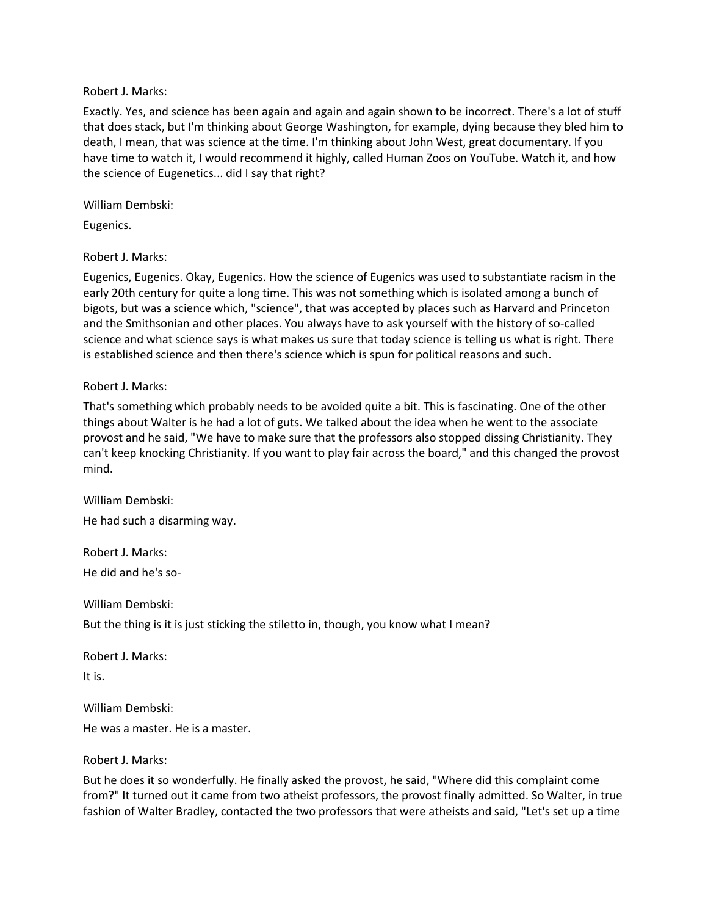#### Robert J. Marks:

Exactly. Yes, and science has been again and again and again shown to be incorrect. There's a lot of stuff that does stack, but I'm thinking about George Washington, for example, dying because they bled him to death, I mean, that was science at the time. I'm thinking about John West, great documentary. If you have time to watch it, I would recommend it highly, called Human Zoos on YouTube. Watch it, and how the science of Eugenetics... did I say that right?

William Dembski:

Eugenics.

Robert J. Marks:

Eugenics, Eugenics. Okay, Eugenics. How the science of Eugenics was used to substantiate racism in the early 20th century for quite a long time. This was not something which is isolated among a bunch of bigots, but was a science which, "science", that was accepted by places such as Harvard and Princeton and the Smithsonian and other places. You always have to ask yourself with the history of so-called science and what science says is what makes us sure that today science is telling us what is right. There is established science and then there's science which is spun for political reasons and such.

#### Robert J. Marks:

That's something which probably needs to be avoided quite a bit. This is fascinating. One of the other things about Walter is he had a lot of guts. We talked about the idea when he went to the associate provost and he said, "We have to make sure that the professors also stopped dissing Christianity. They can't keep knocking Christianity. If you want to play fair across the board," and this changed the provost mind.

William Dembski: He had such a disarming way.

Robert J. Marks: He did and he's so-

William Dembski:

But the thing is it is just sticking the stiletto in, though, you know what I mean?

Robert J. Marks: It is.

William Dembski:

He was a master. He is a master.

Robert J. Marks:

But he does it so wonderfully. He finally asked the provost, he said, "Where did this complaint come from?" It turned out it came from two atheist professors, the provost finally admitted. So Walter, in true fashion of Walter Bradley, contacted the two professors that were atheists and said, "Let's set up a time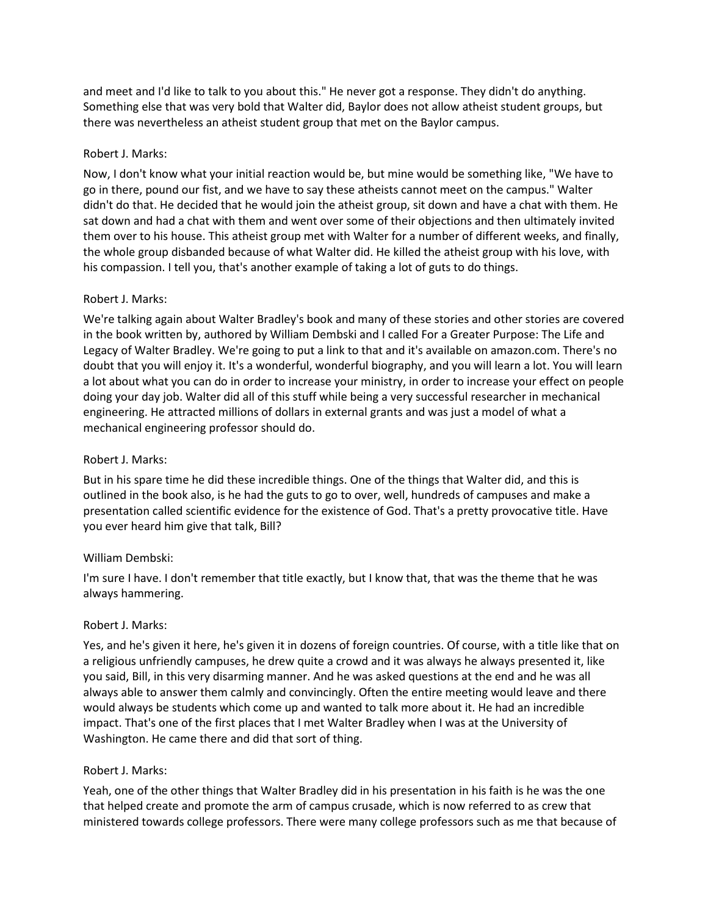and meet and I'd like to talk to you about this." He never got a response. They didn't do anything. Something else that was very bold that Walter did, Baylor does not allow atheist student groups, but there was nevertheless an atheist student group that met on the Baylor campus.

## Robert J. Marks:

Now, I don't know what your initial reaction would be, but mine would be something like, "We have to go in there, pound our fist, and we have to say these atheists cannot meet on the campus." Walter didn't do that. He decided that he would join the atheist group, sit down and have a chat with them. He sat down and had a chat with them and went over some of their objections and then ultimately invited them over to his house. This atheist group met with Walter for a number of different weeks, and finally, the whole group disbanded because of what Walter did. He killed the atheist group with his love, with his compassion. I tell you, that's another example of taking a lot of guts to do things.

# Robert J. Marks:

We're talking again about Walter Bradley's book and many of these stories and other stories are covered in the book written by, authored by William Dembski and I called For a Greater Purpose: The Life and Legacy of Walter Bradley. We're going to put a link to that and it's available on amazon.com. There's no doubt that you will enjoy it. It's a wonderful, wonderful biography, and you will learn a lot. You will learn a lot about what you can do in order to increase your ministry, in order to increase your effect on people doing your day job. Walter did all of this stuff while being a very successful researcher in mechanical engineering. He attracted millions of dollars in external grants and was just a model of what a mechanical engineering professor should do.

## Robert J. Marks:

But in his spare time he did these incredible things. One of the things that Walter did, and this is outlined in the book also, is he had the guts to go to over, well, hundreds of campuses and make a presentation called scientific evidence for the existence of God. That's a pretty provocative title. Have you ever heard him give that talk, Bill?

## William Dembski:

I'm sure I have. I don't remember that title exactly, but I know that, that was the theme that he was always hammering.

## Robert J. Marks:

Yes, and he's given it here, he's given it in dozens of foreign countries. Of course, with a title like that on a religious unfriendly campuses, he drew quite a crowd and it was always he always presented it, like you said, Bill, in this very disarming manner. And he was asked questions at the end and he was all always able to answer them calmly and convincingly. Often the entire meeting would leave and there would always be students which come up and wanted to talk more about it. He had an incredible impact. That's one of the first places that I met Walter Bradley when I was at the University of Washington. He came there and did that sort of thing.

## Robert J. Marks:

Yeah, one of the other things that Walter Bradley did in his presentation in his faith is he was the one that helped create and promote the arm of campus crusade, which is now referred to as crew that ministered towards college professors. There were many college professors such as me that because of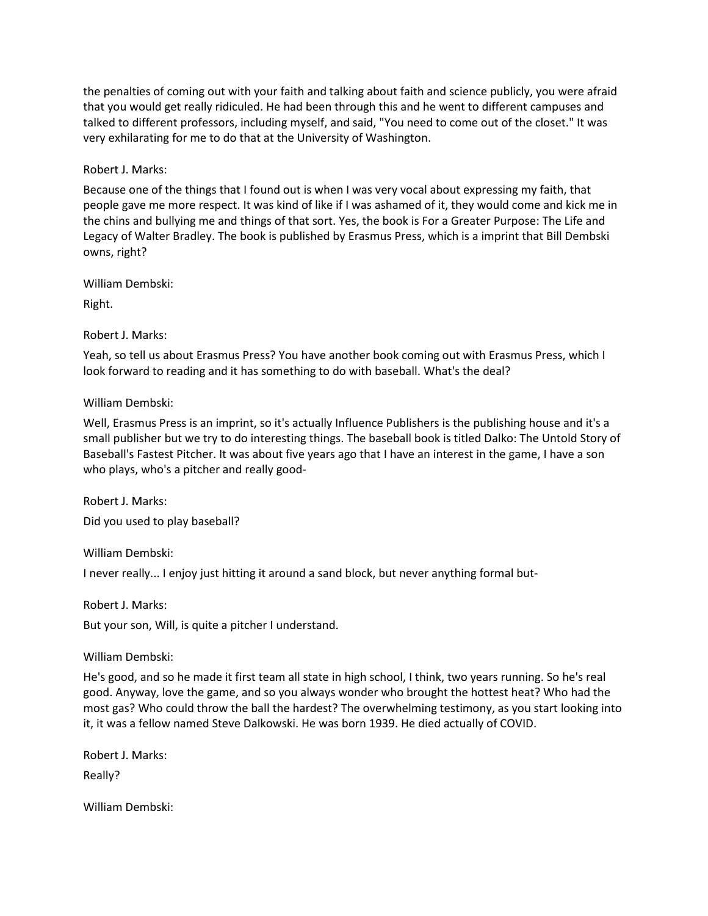the penalties of coming out with your faith and talking about faith and science publicly, you were afraid that you would get really ridiculed. He had been through this and he went to different campuses and talked to different professors, including myself, and said, "You need to come out of the closet." It was very exhilarating for me to do that at the University of Washington.

Robert J. Marks:

Because one of the things that I found out is when I was very vocal about expressing my faith, that people gave me more respect. It was kind of like if I was ashamed of it, they would come and kick me in the chins and bullying me and things of that sort. Yes, the book is For a Greater Purpose: The Life and Legacy of Walter Bradley. The book is published by Erasmus Press, which is a imprint that Bill Dembski owns, right?

William Dembski:

Right.

Robert J. Marks:

Yeah, so tell us about Erasmus Press? You have another book coming out with Erasmus Press, which I look forward to reading and it has something to do with baseball. What's the deal?

William Dembski:

Well, Erasmus Press is an imprint, so it's actually Influence Publishers is the publishing house and it's a small publisher but we try to do interesting things. The baseball book is titled Dalko: The Untold Story of Baseball's Fastest Pitcher. It was about five years ago that I have an interest in the game, I have a son who plays, who's a pitcher and really good-

Robert J. Marks: Did you used to play baseball?

William Dembski:

I never really... I enjoy just hitting it around a sand block, but never anything formal but-

Robert J. Marks:

But your son, Will, is quite a pitcher I understand.

William Dembski:

He's good, and so he made it first team all state in high school, I think, two years running. So he's real good. Anyway, love the game, and so you always wonder who brought the hottest heat? Who had the most gas? Who could throw the ball the hardest? The overwhelming testimony, as you start looking into it, it was a fellow named Steve Dalkowski. He was born 1939. He died actually of COVID.

Robert J. Marks:

Really?

William Dembski: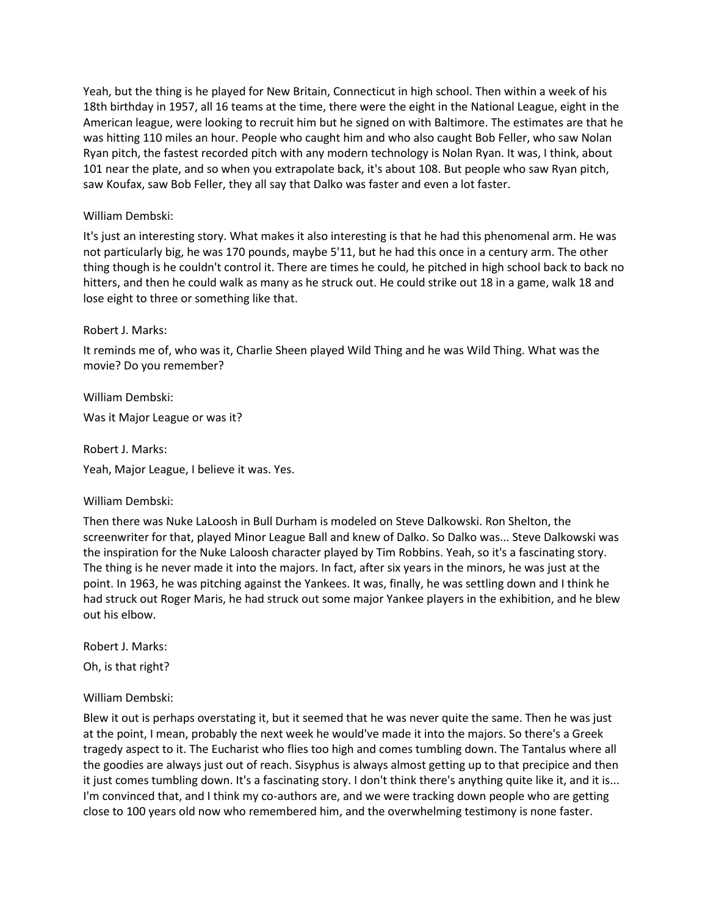Yeah, but the thing is he played for New Britain, Connecticut in high school. Then within a week of his 18th birthday in 1957, all 16 teams at the time, there were the eight in the National League, eight in the American league, were looking to recruit him but he signed on with Baltimore. The estimates are that he was hitting 110 miles an hour. People who caught him and who also caught Bob Feller, who saw Nolan Ryan pitch, the fastest recorded pitch with any modern technology is Nolan Ryan. It was, I think, about 101 near the plate, and so when you extrapolate back, it's about 108. But people who saw Ryan pitch, saw Koufax, saw Bob Feller, they all say that Dalko was faster and even a lot faster.

# William Dembski:

It's just an interesting story. What makes it also interesting is that he had this phenomenal arm. He was not particularly big, he was 170 pounds, maybe 5'11, but he had this once in a century arm. The other thing though is he couldn't control it. There are times he could, he pitched in high school back to back no hitters, and then he could walk as many as he struck out. He could strike out 18 in a game, walk 18 and lose eight to three or something like that.

## Robert J. Marks:

It reminds me of, who was it, Charlie Sheen played Wild Thing and he was Wild Thing. What was the movie? Do you remember?

William Dembski: Was it Major League or was it?

Robert J. Marks: Yeah, Major League, I believe it was. Yes.

## William Dembski:

Then there was Nuke LaLoosh in Bull Durham is modeled on Steve Dalkowski. Ron Shelton, the screenwriter for that, played Minor League Ball and knew of Dalko. So Dalko was... Steve Dalkowski was the inspiration for the Nuke Laloosh character played by Tim Robbins. Yeah, so it's a fascinating story. The thing is he never made it into the majors. In fact, after six years in the minors, he was just at the point. In 1963, he was pitching against the Yankees. It was, finally, he was settling down and I think he had struck out Roger Maris, he had struck out some major Yankee players in the exhibition, and he blew out his elbow.

Robert J. Marks: Oh, is that right?

## William Dembski:

Blew it out is perhaps overstating it, but it seemed that he was never quite the same. Then he was just at the point, I mean, probably the next week he would've made it into the majors. So there's a Greek tragedy aspect to it. The Eucharist who flies too high and comes tumbling down. The Tantalus where all the goodies are always just out of reach. Sisyphus is always almost getting up to that precipice and then it just comes tumbling down. It's a fascinating story. I don't think there's anything quite like it, and it is... I'm convinced that, and I think my co-authors are, and we were tracking down people who are getting close to 100 years old now who remembered him, and the overwhelming testimony is none faster.